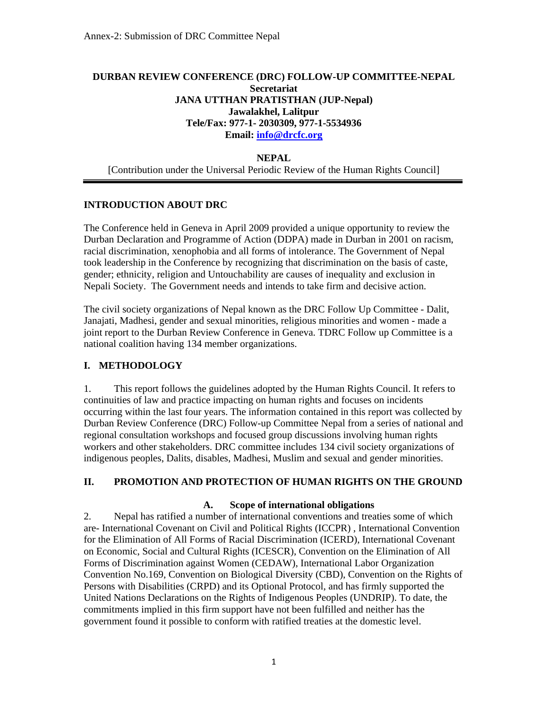### **DURBAN REVIEW CONFERENCE (DRC) FOLLOW-UP COMMITTEE-NEPAL Secretariat JANA UTTHAN PRATISTHAN (JUP-Nepal) Jawalakhel, Lalitpur Tele/Fax: 977-1- 2030309, 977-1-5534936 Email: info@drcfc.org**

#### **NEPAL**

[Contribution under the Universal Periodic Review of the Human Rights Council]

#### **INTRODUCTION ABOUT DRC**

The Conference held in Geneva in April 2009 provided a unique opportunity to review the Durban Declaration and Programme of Action (DDPA) made in Durban in 2001 on racism, racial discrimination, xenophobia and all forms of intolerance. The Government of Nepal took leadership in the Conference by recognizing that discrimination on the basis of caste, gender; ethnicity, religion and Untouchability are causes of inequality and exclusion in Nepali Society. The Government needs and intends to take firm and decisive action.

The civil society organizations of Nepal known as the DRC Follow Up Committee - Dalit, Janajati, Madhesi, gender and sexual minorities, religious minorities and women - made a joint report to the Durban Review Conference in Geneva. TDRC Follow up Committee is a national coalition having 134 member organizations.

#### **I. METHODOLOGY**

1. This report follows the guidelines adopted by the Human Rights Council. It refers to continuities of law and practice impacting on human rights and focuses on incidents occurring within the last four years. The information contained in this report was collected by Durban Review Conference (DRC) Follow-up Committee Nepal from a series of national and regional consultation workshops and focused group discussions involving human rights workers and other stakeholders. DRC committee includes 134 civil society organizations of indigenous peoples, Dalits, disables, Madhesi, Muslim and sexual and gender minorities.

### **II. PROMOTION AND PROTECTION OF HUMAN RIGHTS ON THE GROUND**

#### **A. Scope of international obligations**

2. Nepal has ratified a number of international conventions and treaties some of which are- International Covenant on Civil and Political Rights (ICCPR) , International Convention for the Elimination of All Forms of Racial Discrimination (ICERD), International Covenant on Economic, Social and Cultural Rights (ICESCR), Convention on the Elimination of All Forms of Discrimination against Women (CEDAW), International Labor Organization Convention No.169, Convention on Biological Diversity (CBD), Convention on the Rights of Persons with Disabilities (CRPD) and its Optional Protocol, and has firmly supported the United Nations Declarations on the Rights of Indigenous Peoples (UNDRIP). To date, the commitments implied in this firm support have not been fulfilled and neither has the government found it possible to conform with ratified treaties at the domestic level.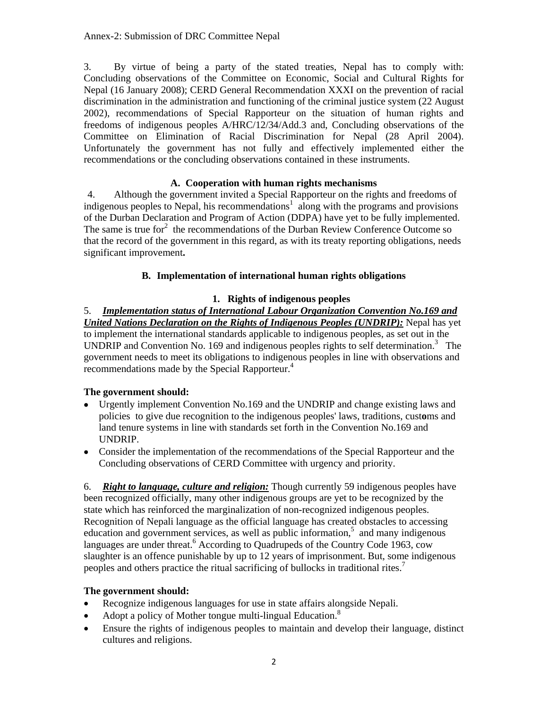3. By virtue of being a party of the stated treaties, Nepal has to comply with: Concluding observations of the Committee on Economic, Social and Cultural Rights for Nepal (16 January 2008); CERD General Recommendation XXXI on the prevention of racial discrimination in the administration and functioning of the criminal justice system (22 August 2002), recommendations of Special Rapporteur on the situation of human rights and freedoms of indigenous peoples A/HRC/12/34/Add.3 and, Concluding observations of the Committee on Elimination of Racial Discrimination for Nepal (28 April 2004). Unfortunately the government has not fully and effectively implemented either the recommendations or the concluding observations contained in these instruments.

# **A. Cooperation with human rights mechanisms**

4. Although the government invited a Special Rapporteur on the rights and freedoms of  $\frac{1}{2}$  indigenous peoples to Nepal, his recommendations<sup>1</sup> along with the programs and provisions of the Durban Declaration and Program of Action (DDPA) have yet to be fully implemented. The same is true for $2$  the recommendations of the Durban Review Conference Outcome so that the record of the government in this regard, as with its treaty reporting obligations, needs significant improvement**.** 

# **B. Implementation of international human rights obligations**

### **1. Rights of indigenous peoples**

5. *Implementation status of International Labour Organization Convention No.169 and United Nations Declaration on the Rights of Indigenous Peoples (UNDRIP):* Nepal has yet to implement the international standards applicable to indigenous peoples, as set out in the UNDRIP and Convention No. 169 and indigenous peoples rights to self determination.<sup>3</sup> The government needs to meet its obligations to indigenous peoples in line with observations and recommendations made by the Special Rapporteur.<sup>4</sup>

### **The government should:**

- Urgently implement Convention No.169 and the UNDRIP and change existing laws and policies to give due recognition to the indigenous peoples' laws, traditions, cust**o**ms and land tenure systems in line with standards set forth in the Convention No.169 and UNDRIP.
- Consider the implementation of the recommendations of the Special Rapporteur and the Concluding observations of CERD Committee with urgency and priority.

6. *Right to language, culture and religion:* Though currently 59 indigenous peoples have been recognized officially, many other indigenous groups are yet to be recognized by the state which has reinforced the marginalization of non-recognized indigenous peoples. Recognition of Nepali language as the official language has created obstacles to accessing  $eduction$  and government services, as well as public information, $5$  and many indigenous languages are under threat.<sup>6</sup> According to Quadrupeds of the Country Code 1963, cow slaughter is an offence punishable by up to 12 years of imprisonment. But, some indigenous peoples and others practice the ritual sacrificing of bullocks in traditional rites.<sup>7</sup>

- Recognize indigenous languages for use in state affairs alongside Nepali.
- Adopt a policy of Mother tongue multi-lingual Education.<sup>8</sup>
- Ensure the rights of indigenous peoples to maintain and develop their language, distinct cultures and religions.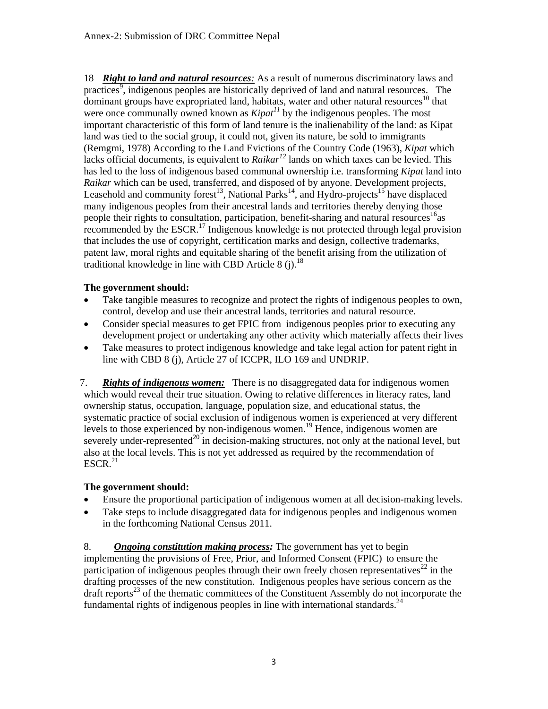18 *Right to land and natural resources:* As a result of numerous discriminatory laws and practices<sup>9</sup>, indigenous peoples are historically deprived of land and natural resources. The dominant groups have expropriated land, habitats, water and other natural resources<sup>10</sup> that were once communally owned known as *Kipat<sup>11</sup>* by the indigenous peoples. The most important characteristic of this form of land tenure is the inalienability of the land: as Kipat land was tied to the social group, it could not, given its nature, be sold to immigrants (Remgmi, 1978) According to the Land Evictions of the Country Code (1963), *Kipat* which lacks official documents, is equivalent to  $Raikar^{12}$  lands on which taxes can be levied. This has led to the loss of indigenous based communal ownership i.e. transforming *Kipat* land into *Raikar* which can be used, transferred, and disposed of by anyone. Development projects, Leasehold and community forest<sup>13</sup>, National Parks<sup>14</sup>, and Hydro-projects<sup>15</sup> have displaced many indigenous peoples from their ancestral lands and territories thereby denying those people their rights to consultation, participation, benefit-sharing and natural resources<sup>16</sup> as recommended by the ESCR.<sup>17</sup> Indigenous knowledge is not protected through legal provision that includes the use of copyright, certification marks and design, collective trademarks, patent law, moral rights and equitable sharing of the benefit arising from the utilization of traditional knowledge in line with CBD Article 8 (j).<sup>18</sup>

### **The government should:**

- Take tangible measures to recognize and protect the rights of indigenous peoples to own, control, develop and use their ancestral lands, territories and natural resource.
- Consider special measures to get FPIC from indigenous peoples prior to executing any development project or undertaking any other activity which materially affects their lives
- Take measures to protect indigenous knowledge and take legal action for patent right in line with CBD 8 (j), Article 27 of ICCPR, ILO 169 and UNDRIP.

7. *Rights of indigenous women:* There is no disaggregated data for indigenous women which would reveal their true situation. Owing to relative differences in literacy rates, land ownership status, occupation, language, population size, and educational status, the systematic practice of social exclusion of indigenous women is experienced at very different levels to those experienced by non-indigenous women.<sup>19</sup> Hence, indigenous women are severely under-represented<sup>20</sup> in decision-making structures, not only at the national level, but also at the local levels. This is not yet addressed as required by the recommendation of  $ESCR.<sup>21</sup>$ 

### **The government should:**

- Ensure the proportional participation of indigenous women at all decision-making levels.
- Take steps to include disaggregated data for indigenous peoples and indigenous women in the forthcoming National Census 2011.

8. *Ongoing constitution making process:* The government has yet to begin implementing the provisions of Free, Prior, and Informed Consent (FPIC) to ensure the participation of indigenous peoples through their own freely chosen representatives<sup>22</sup> in the drafting processes of the new constitution. Indigenous peoples have serious concern as the draft reports $^{23}$  of the thematic committees of the Constituent Assembly do not incorporate the fundamental rights of indigenous peoples in line with international standards.<sup>24</sup>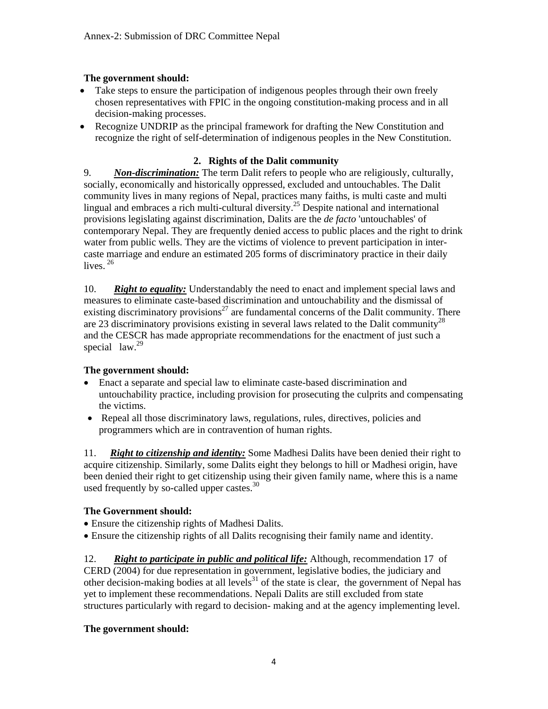# **The government should:**

- Take steps to ensure the participation of indigenous peoples through their own freely chosen representatives with FPIC in the ongoing constitution-making process and in all decision-making processes.
- Recognize UNDRIP as the principal framework for drafting the New Constitution and recognize the right of self-determination of indigenous peoples in the New Constitution.

# **2. Rights of the Dalit community**

9. *Non-discrimination:* The term Dalit refers to people who are religiously, culturally, socially, economically and historically oppressed, excluded and untouchables. The Dalit community lives in many regions of Nepal, practices many faiths, is multi caste and multi lingual and embraces a rich multi-cultural diversity.<sup>25</sup> Despite national and international provisions legislating against discrimination, Dalits are the *de facto* 'untouchables' of contemporary Nepal. They are frequently denied access to public places and the right to drink water from public wells. They are the victims of violence to prevent participation in intercaste marriage and endure an estimated 205 forms of discriminatory practice in their daily lives.<sup>26</sup>

10. *Right to equality:* Understandably the need to enact and implement special laws and measures to eliminate caste-based discrimination and untouchability and the dismissal of existing discriminatory provisions<sup>27</sup> are fundamental concerns of the Dalit community. There are 23 discriminatory provisions existing in several laws related to the Dalit community<sup>28</sup> and the CESCR has made appropriate recommendations for the enactment of just such a special  $law.<sup>29</sup>$ 

### **The government should:**

- Enact a separate and special law to eliminate caste-based discrimination and untouchability practice, including provision for prosecuting the culprits and compensating the victims.
- Repeal all those discriminatory laws, regulations, rules, directives, policies and programmers which are in contravention of human rights.

11. *Right to citizenship and identity:* Some Madhesi Dalits have been denied their right to acquire citizenship. Similarly, some Dalits eight they belongs to hill or Madhesi origin, have been denied their right to get citizenship using their given family name, where this is a name used frequently by so-called upper castes. $30$ 

# **The Government should:**

- Ensure the citizenship rights of Madhesi Dalits.
- Ensure the citizenship rights of all Dalits recognising their family name and identity.

12. *Right to participate in public and political life:* Although, recommendation 17 of CERD (2004) for due representation in government, legislative bodies, the judiciary and other decision-making bodies at all levels<sup>31</sup> of the state is clear, the government of Nepal has yet to implement these recommendations. Nepali Dalits are still excluded from state structures particularly with regard to decision- making and at the agency implementing level.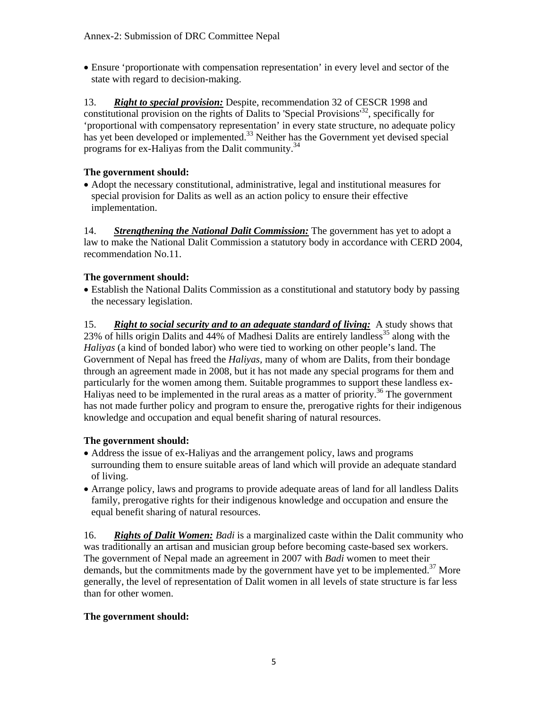• Ensure 'proportionate with compensation representation' in every level and sector of the state with regard to decision-making.

13. *Right to special provision:* Despite, recommendation 32 of CESCR 1998 and constitutional provision on the rights of Dalits to 'Special Provisions<sup>32</sup>, specifically for 'proportional with compensatory representation' in every state structure, no adequate policy has yet been developed or implemented.<sup>33</sup> Neither has the Government yet devised special programs for ex-Haliyas from the Dalit community.34

# **The government should:**

• Adopt the necessary constitutional, administrative, legal and institutional measures for special provision for Dalits as well as an action policy to ensure their effective implementation.

14. *Strengthening the National Dalit Commission:* The government has yet to adopt a law to make the National Dalit Commission a statutory body in accordance with CERD 2004, recommendation No.11.

# **The government should:**

• Establish the National Dalits Commission as a constitutional and statutory body by passing the necessary legislation.

15. *Right to social security and to an adequate standard of living:* A study shows that 23% of hills origin Dalits and 44% of Madhesi Dalits are entirely landless<sup>35</sup> along with the *Haliyas* (a kind of bonded labor) who were tied to working on other people's land. The Government of Nepal has freed the *Haliyas,* many of whom are Dalits, from their bondage through an agreement made in 2008, but it has not made any special programs for them and particularly for the women among them. Suitable programmes to support these landless ex-Haliyas need to be implemented in the rural areas as a matter of priority.<sup>36</sup> The government has not made further policy and program to ensure the, prerogative rights for their indigenous knowledge and occupation and equal benefit sharing of natural resources.

### **The government should:**

- Address the issue of ex-Haliyas and the arrangement policy, laws and programs surrounding them to ensure suitable areas of land which will provide an adequate standard of living.
- Arrange policy, laws and programs to provide adequate areas of land for all landless Dalits family, prerogative rights for their indigenous knowledge and occupation and ensure the equal benefit sharing of natural resources.

16. *Rights of Dalit Women: Badi* is a marginalized caste within the Dalit community who was traditionally an artisan and musician group before becoming caste-based sex workers. The government of Nepal made an agreement in 2007 with *Badi* women to meet their demands, but the commitments made by the government have yet to be implemented.<sup>37</sup> More generally, the level of representation of Dalit women in all levels of state structure is far less than for other women.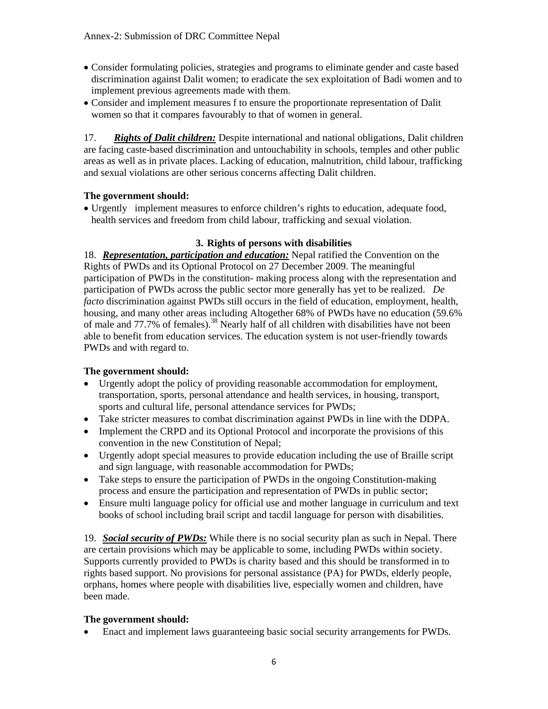- Consider formulating policies, strategies and programs to eliminate gender and caste based discrimination against Dalit women; to eradicate the sex exploitation of Badi women and to implement previous agreements made with them.
- Consider and implement measures f to ensure the proportionate representation of Dalit women so that it compares favourably to that of women in general.

17. *Rights of Dalit children:* Despite international and national obligations, Dalit children are facing caste-based discrimination and untouchability in schools, temples and other public areas as well as in private places. Lacking of education, malnutrition, child labour, trafficking and sexual violations are other serious concerns affecting Dalit children.

### **The government should:**

• Urgently implement measures to enforce children's rights to education, adequate food, health services and freedom from child labour, trafficking and sexual violation.

# **3. Rights of persons with disabilities**

18. *Representation, participation and education:* Nepal ratified the Convention on the Rights of PWDs and its Optional Protocol on 27 December 2009. The meaningful participation of PWDs in the constitution- making process along with the representation and participation of PWDs across the public sector more generally has yet to be realized. *De facto* discrimination against PWDs still occurs in the field of education, employment, health, housing, and many other areas including Altogether 68% of PWDs have no education (59.6% of male and 77.7% of females).<sup>38</sup> Nearly half of all children with disabilities have not been able to benefit from education services. The education system is not user-friendly towards PWDs and with regard to.

# **The government should:**

- Urgently adopt the policy of providing reasonable accommodation for employment, transportation, sports, personal attendance and health services, in housing, transport, sports and cultural life, personal attendance services for PWDs;
- Take stricter measures to combat discrimination against PWDs in line with the DDPA.
- Implement the CRPD and its Optional Protocol and incorporate the provisions of this convention in the new Constitution of Nepal;
- Urgently adopt special measures to provide education including the use of Braille script and sign language, with reasonable accommodation for PWDs;
- Take steps to ensure the participation of PWDs in the ongoing Constitution-making process and ensure the participation and representation of PWDs in public sector;
- Ensure multi language policy for official use and mother language in curriculum and text books of school including brail script and tacdil language for person with disabilities.

19. *Social security of PWDs:* While there is no social security plan as such in Nepal. There are certain provisions which may be applicable to some, including PWDs within society. Supports currently provided to PWDs is charity based and this should be transformed in to rights based support. No provisions for personal assistance (PA) for PWDs, elderly people, orphans, homes where people with disabilities live, especially women and children, have been made.

# **The government should:**

• Enact and implement laws guaranteeing basic social security arrangements for PWDs.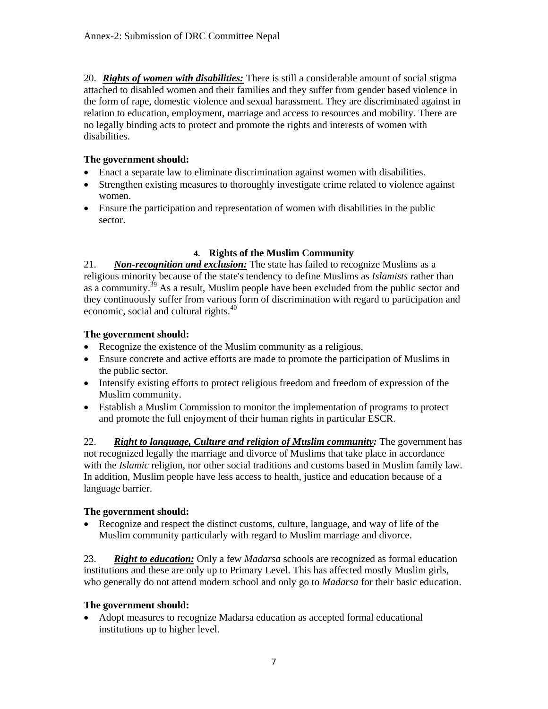20. *Rights of women with disabilities:* There is still a considerable amount of social stigma attached to disabled women and their families and they suffer from gender based violence in the form of rape, domestic violence and sexual harassment. They are discriminated against in relation to education, employment, marriage and access to resources and mobility. There are no legally binding acts to protect and promote the rights and interests of women with disabilities.

# **The government should:**

- Enact a separate law to eliminate discrimination against women with disabilities.
- Strengthen existing measures to thoroughly investigate crime related to violence against women.
- Ensure the participation and representation of women with disabilities in the public sector.

# **4. Rights of the Muslim Community**

21. *Non-recognition and exclusion:* The state has failed to recognize Muslims as a religious minority because of the state's tendency to define Muslims as *Islamists* rather than as a community.<sup>39</sup> As a result, Muslim people have been excluded from the public sector and they continuously suffer from various form of discrimination with regard to participation and economic, social and cultural rights.<sup>40</sup>

# **The government should:**

- Recognize the existence of the Muslim community as a religious.
- Ensure concrete and active efforts are made to promote the participation of Muslims in the public sector.
- Intensify existing efforts to protect religious freedom and freedom of expression of the Muslim community.
- Establish a Muslim Commission to monitor the implementation of programs to protect and promote the full enjoyment of their human rights in particular ESCR.

22. *Right to language, Culture and religion of Muslim community:* The government has not recognized legally the marriage and divorce of Muslims that take place in accordance with the *Islamic* religion, nor other social traditions and customs based in Muslim family law. In addition, Muslim people have less access to health, justice and education because of a language barrier.

# **The government should:**

• Recognize and respect the distinct customs, culture, language, and way of life of the Muslim community particularly with regard to Muslim marriage and divorce.

23. *Right to education:* Only a few *Madarsa* schools are recognized as formal education institutions and these are only up to Primary Level. This has affected mostly Muslim girls, who generally do not attend modern school and only go to *Madarsa* for their basic education.

### **The government should:**

• Adopt measures to recognize Madarsa education as accepted formal educational institutions up to higher level.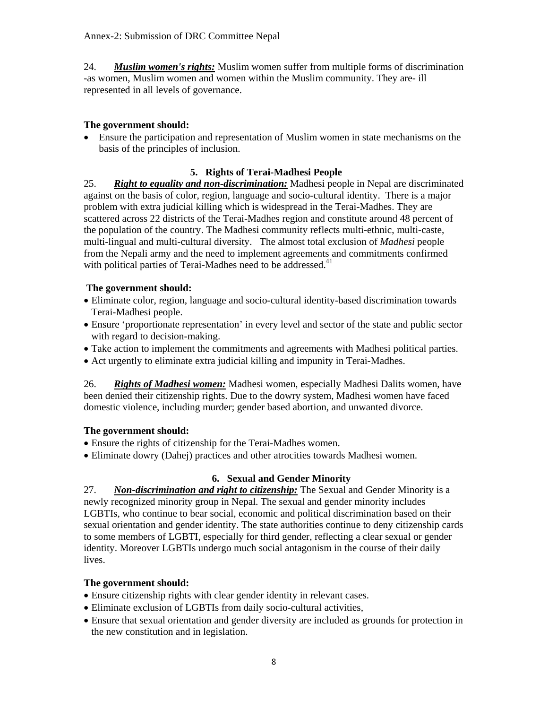24. *Muslim women's rights:* Muslim women suffer from multiple forms of discrimination -as women, Muslim women and women within the Muslim community. They are- ill represented in all levels of governance.

# **The government should:**

• Ensure the participation and representation of Muslim women in state mechanisms on the basis of the principles of inclusion.

# **5. Rights of Terai-Madhesi People**

25. *Right to equality and non-discrimination:* Madhesi people in Nepal are discriminated against on the basis of color, region, language and socio-cultural identity. There is a major problem with extra judicial killing which is widespread in the Terai-Madhes. They are scattered across 22 districts of the Terai-Madhes region and constitute around 48 percent of the population of the country. The Madhesi community reflects multi-ethnic, multi-caste, multi-lingual and multi-cultural diversity. The almost total exclusion of *Madhesi* people from the Nepali army and the need to implement agreements and commitments confirmed with political parties of Terai-Madhes need to be addressed.<sup>41</sup>

### **The government should:**

- Eliminate color, region, language and socio-cultural identity-based discrimination towards Terai-Madhesi people.
- Ensure 'proportionate representation' in every level and sector of the state and public sector with regard to decision-making.
- Take action to implement the commitments and agreements with Madhesi political parties.
- Act urgently to eliminate extra judicial killing and impunity in Terai-Madhes.

26. *Rights of Madhesi women:* Madhesi women, especially Madhesi Dalits women, have been denied their citizenship rights. Due to the dowry system, Madhesi women have faced domestic violence, including murder; gender based abortion, and unwanted divorce.

### **The government should:**

- Ensure the rights of citizenship for the Terai-Madhes women.
- Eliminate dowry (Dahej) practices and other atrocities towards Madhesi women.

# **6. Sexual and Gender Minority**

27. *Non-discrimination and right to citizenship:* The Sexual and Gender Minority is a newly recognized minority group in Nepal. The sexual and gender minority includes LGBTIs, who continue to bear social, economic and political discrimination based on their sexual orientation and gender identity. The state authorities continue to deny citizenship cards to some members of LGBTI, especially for third gender, reflecting a clear sexual or gender identity. Moreover LGBTIs undergo much social antagonism in the course of their daily lives.

- Ensure citizenship rights with clear gender identity in relevant cases.
- Eliminate exclusion of LGBTIs from daily socio-cultural activities,
- Ensure that sexual orientation and gender diversity are included as grounds for protection in the new constitution and in legislation.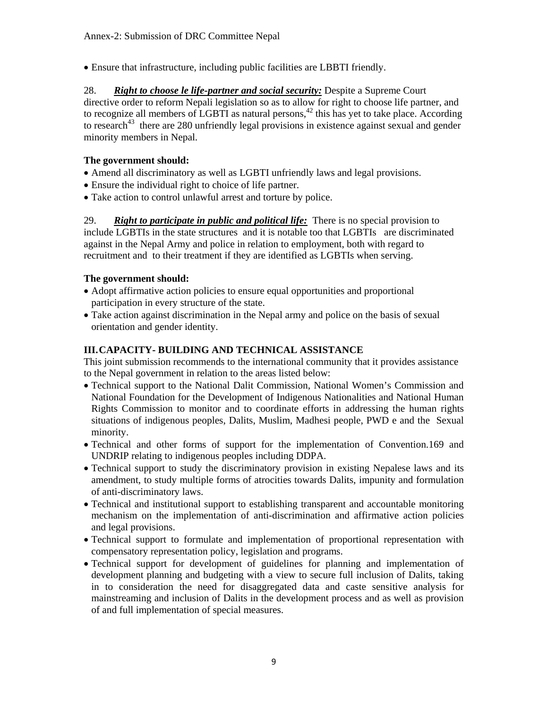• Ensure that infrastructure, including public facilities are LBBTI friendly.

28. *Right to choose le life-partner and social security:* Despite a Supreme Court directive order to reform Nepali legislation so as to allow for right to choose life partner, and to recognize all members of LGBTI as natural persons, $42$  this has yet to take place. According to research<sup>43</sup> there are 280 unfriendly legal provisions in existence against sexual and gender minority members in Nepal.

# **The government should:**

- Amend all discriminatory as well as LGBTI unfriendly laws and legal provisions.
- Ensure the individual right to choice of life partner.
- Take action to control unlawful arrest and torture by police.

29. *Right to participate in public and political life:* There is no special provision to include LGBTIs in the state structures and it is notable too that LGBTIs are discriminated against in the Nepal Army and police in relation to employment, both with regard to recruitment and to their treatment if they are identified as LGBTIs when serving.

# **The government should:**

- Adopt affirmative action policies to ensure equal opportunities and proportional participation in every structure of the state.
- Take action against discrimination in the Nepal army and police on the basis of sexual orientation and gender identity.

# **III.CAPACITY- BUILDING AND TECHNICAL ASSISTANCE**

This joint submission recommends to the international community that it provides assistance to the Nepal government in relation to the areas listed below:

- Technical support to the National Dalit Commission, National Women's Commission and National Foundation for the Development of Indigenous Nationalities and National Human Rights Commission to monitor and to coordinate efforts in addressing the human rights situations of indigenous peoples, Dalits, Muslim, Madhesi people, PWD e and the Sexual minority.
- Technical and other forms of support for the implementation of Convention.169 and UNDRIP relating to indigenous peoples including DDPA.
- Technical support to study the discriminatory provision in existing Nepalese laws and its amendment, to study multiple forms of atrocities towards Dalits, impunity and formulation of anti-discriminatory laws.
- Technical and institutional support to establishing transparent and accountable monitoring mechanism on the implementation of anti-discrimination and affirmative action policies and legal provisions.
- Technical support to formulate and implementation of proportional representation with compensatory representation policy, legislation and programs.
- Technical support for development of guidelines for planning and implementation of development planning and budgeting with a view to secure full inclusion of Dalits, taking in to consideration the need for disaggregated data and caste sensitive analysis for mainstreaming and inclusion of Dalits in the development process and as well as provision of and full implementation of special measures.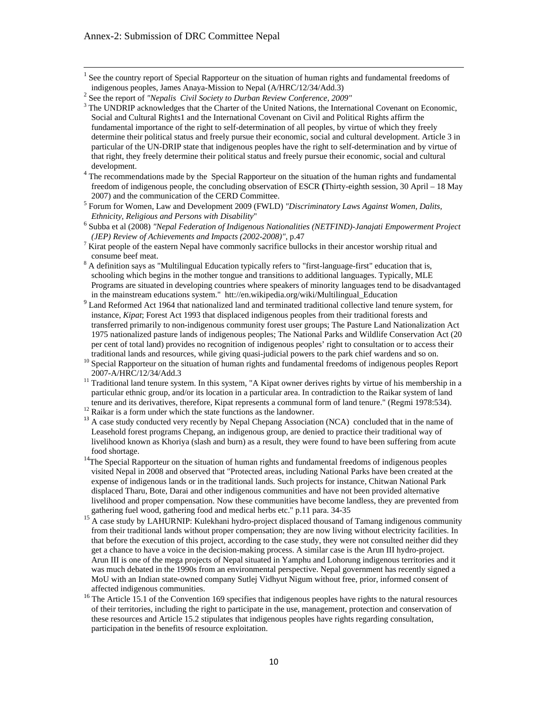<sup>1</sup> See the country report of Special Rapporteur on the situation of human rights and fundamental freedoms of indigenous peoples, James Anaya-Mission to Nepal (A/HRC/12/34/Add.3) 2

development.<br><sup>4</sup> The recommendations made by the Special Rapporteur on the situation of the human rights and fundamental freedom of indigenous people, the concluding observation of ESCR **(**Thirty-eighth session, 30 April – 18 May 2007) and the communication of the CERD Committee.

- Subba et al (2008) *"Nepal Federation of Indigenous Nationalities (NETFIND)-Janajati Empowerment Project (JEP) Review of Achievements and Impacts (2002-2008)", p.47*
- $\frac{7}{1}$  Kirat people of the eastern Nepal have commonly sacrifice bullocks in their ancestor worship ritual and
- consume beef meat.<br><sup>8</sup> A definition says as "Multilingual Education typically refers to "first-language-first" education that is, schooling which begins in the mother tongue and transitions to additional languages. Typically, MLE Programs are situated in developing countries where speakers of minority languages tend to be disadvantaged in the mainstream educations system." htt://en.wikipedia.org/wiki/Multilingual\_Education
- <sup>9</sup> Land Reformed Act 1964 that nationalized land and terminated traditional collective land tenure system, for instance, *Kipat*; Forest Act 1993 that displaced indigenous peoples from their traditional forests and transferred primarily to non-indigenous community forest user groups; The Pasture Land Nationalization Act 1975 nationalized pasture lands of indigenous peoples; The National Parks and Wildlife Conservation Act (20 per cent of total land) provides no recognition of indigenous peoples' right to consultation or to access their traditional lands and resources, while giving quasi-judicial powers to the park chief wardens and so on.
- traditional lands and resources, while giving quasi-judicial powers to the park chief wardens and so on. 10 Special Rapporteur on the situation of human rights and fundamental freedoms of indigenous peoples Report
- 2007-A/HRC/12/34/Add.3<br><sup>11</sup> Traditional land tenure system. In this system, "A Kipat owner derives rights by virtue of his membership in a particular ethnic group, and/or its location in a particular area. In contradiction to the Raikar system of land tenure and its derivatives, therefore, Kipat represents a communal form of land tenure." (Regmi 1978:534). 12 Raikar is a form under which the state functions as the landowner.
- 
- <sup>13</sup> A case study conducted very recently by Nepal Chepang Association (NCA) concluded that in the name of Leasehold forest programs Chepang, an indigenous group, are denied to practice their traditional way of livelihood known as Khoriya (slash and burn) as a result, they were found to have been suffering from acute
- food shortage.<br><sup>14</sup>The Special Rapporteur on the situation of human rights and fundamental freedoms of indigenous peoples visited Nepal in 2008 and observed that "Protected areas, including National Parks have been created at the expense of indigenous lands or in the traditional lands. Such projects for instance, Chitwan National Park displaced Tharu, Bote, Darai and other indigenous communities and have not been provided alternative livelihood and proper compensation. Now these communities have become landless, they are prevented from gathering fuel wood, gathering food and medical herbs etc." p.11 para. 34-35
- 15 A case study by LAHURNIP: Kulekhani hydro-project displaced thousand of Tamang indigenous community from their traditional lands without proper compensation; they are now living without electricity facilities. In that before the execution of this project, according to the case study, they were not consulted neither did they get a chance to have a voice in the decision-making process. A similar case is the Arun III hydro-project. Arun III is one of the mega projects of Nepal situated in Yamphu and Lohorung indigenous territories and it was much debated in the 1990s from an environmental perspective. Nepal government has recently signed a MoU with an Indian state-owned company Sutlej Vidhyut Nigum without free, prior, informed consent of affected indigenous communities.
- <sup>16</sup> The Article 15.1 of the Convention 169 specifies that indigenous peoples have rights to the natural resources of their territories, including the right to participate in the use, management, protection and conservation of these resources and Article 15.2 stipulates that indigenous peoples have rights regarding consultation, participation in the benefits of resource exploitation.

<sup>&</sup>lt;sup>2</sup> See the report of *"Nepalis Civil Society to Durban Review Conference, 2009"* 

<sup>&</sup>lt;sup>3</sup> The UNDRIP acknowledges that the Charter of the United Nations, the International Covenant on Economic, Social and Cultural Rights1 and the International Covenant on Civil and Political Rights affirm the fundamental importance of the right to self-determination of all peoples, by virtue of which they freely determine their political status and freely pursue their economic, social and cultural development. Article 3 in particular of the UN-DRIP state that indigenous peoples have the right to self-determination and by virtue of that right, they freely determine their political status and freely pursue their economic, social and cultural

<sup>5</sup> Forum for Women, Law and Development 2009 (FWLD) *"Discriminatory Laws Against Women, Dalits, Ethnicity, Religious and Persons with Disability*" 6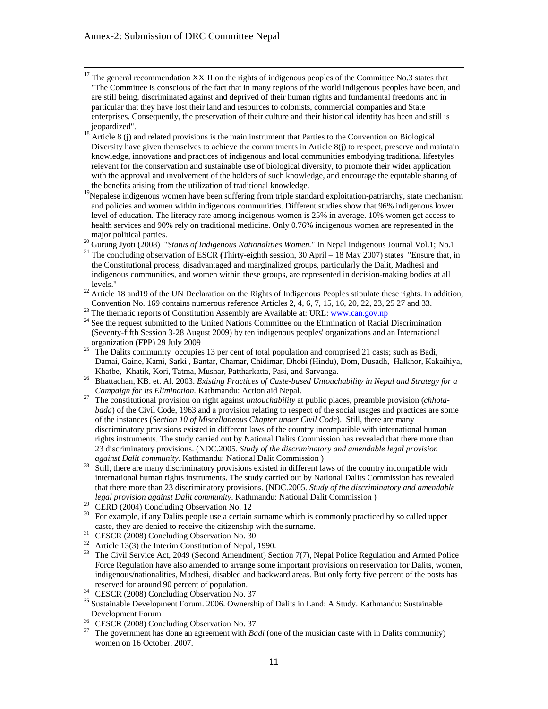- $17$  The general recommendation XXIII on the rights of indigenous peoples of the Committee No.3 states that "The Committee is conscious of the fact that in many regions of the world indigenous peoples have been, and are still being, discriminated against and deprived of their human rights and fundamental freedoms and in particular that they have lost their land and resources to colonists, commercial companies and State enterprises. Consequently, the preservation of their culture and their historical identity has been and still is jeopardized".
- <sup>18</sup> Article 8 (j) and related provisions is the main instrument that Parties to the Convention on Biological Diversity have given themselves to achieve the commitments in Article 8(j) to respect, preserve and maintain knowledge, innovations and practices of indigenous and local communities embodying traditional lifestyles relevant for the conservation and sustainable use of biological diversity, to promote their wider application with the approval and involvement of the holders of such knowledge, and encourage the equitable sharing of the benefits arising from the utilization of traditional knowledge.
- <sup>19</sup>Nepalese indigenous women have been suffering from triple standard exploitation-patriarchy, state mechanism and policies and women within indigenous communities. Different studies show that 96% indigenous lower level of education. The literacy rate among indigenous women is 25% in average. 10% women get access to health services and 90% rely on traditional medicine. Only 0.76% indigenous women are represented in the
- 
- major political parties.<br><sup>20</sup> Gurung Jyoti (2008) "*Status of Indigenous Nationalities Women*." In Nepal Indigenous Journal Vol.1; No.1<br><sup>21</sup> The concluding observation of ESCR (Thirty-eighth session, 30 April 18 May 200 the Constitutional process, disadvantaged and marginalized groups, particularly the Dalit, Madhesi and indigenous communities, and women within these groups, are represented in decision-making bodies at all
- levels." 22 Article 18 and19 of the UN Declaration on the Rights of Indigenous Peoples stipulate these rights. In addition, Convention No. 169 contains numerous reference Articles 2, 4, 6, 7, 15, 16, 20, 22, 23, 25 27 and 33.<br><sup>23</sup> The thematic reports of Constitution Assembly are Available at: URL:  $\underline{www.can.gov,np}$ <br><sup>24</sup> See the request submitted t
- 
- (Seventy-fifth Session 3-28 August 2009) by ten indigenous peoples' organizations and an International organization (FPP) 29 July 2009<br><sup>25</sup> The Dalits community occupies 13 per cent of total population and comprised 21 casts; such as Badi,
- Damai, Gaine, Kami, Sarki , Bantar, Chamar, Chidimar, Dhobi (Hindu), Dom, Dusadh, Halkhor, Kakaihiya,
- Khatbe, Khatik, Kori, Tatma, Mushar, Pattharkatta, Pasi, and Sarvanga. 26 Bhattachan, KB. et. Al. 2003. *Existing Practices of Caste-based Untouchability in Nepal and Strategy for a Campaign for its Elimination*. Kathmandu: Action aid Nepal.<br><sup>27</sup> The constitutional provision on right against *untouchability* at public places, preamble provision (*chhota-*
- *bada*) of the Civil Code, 1963 and a provision relating to respect of the social usages and practices are some of the instances (*Section 10 of Miscellaneous Chapter under Civil Code*). Still, there are many discriminatory provisions existed in different laws of the country incompatible with international human rights instruments. The study carried out by National Dalits Commission has revealed that there more than 23 discriminatory provisions. (NDC.2005. *Study of the discriminatory and amendable legal provision*
- *against Dalit community*. Kathmandu: National Dalit Commission )<br><sup>28</sup> Still, there are many discriminatory provisions existed in different laws of the country incompatible with international human rights instruments. The study carried out by National Dalits Commission has revealed that there more than 23 discriminatory provisions. (NDC.2005. *Study of the discriminatory and amendable legal provision against Dalit community*. Kathmandu: National Dalit Commission )<br><sup>29</sup> CERD (2004) Concluding Observation No. 12<br><sup>30</sup> Eca example if any Dalits people we a certain sympony which is semmenty prestice
- 
- 30 For example, if any Dalits people use a certain surname which is commonly practiced by so called upper caste, they are denied to receive the citizenship with the surname.<br>  $\frac{31}{22}$  CESCR (2008) Concluding Observation No. 30<br>  $\frac{32}{24}$  Article 12(2) the Integring Constitution of Novel 1000
- 
- Article 13(3) the Interim Constitution of Nepal, 1990.
- <sup>33</sup> The Civil Service Act, 2049 (Second Amendment) Section 7(7), Nepal Police Regulation and Armed Police Force Regulation have also amended to arrange some important provisions on reservation for Dalits, women, indigenous/nationalities, Madhesi, disabled and backward areas. But only forty five percent of the posts has
- reserved for around 90 percent of population. 34 CESCR (2008) Concluding Observation No. 37
- <sup>35</sup> Sustainable Development Forum. 2006. Ownership of Dalits in Land: A Study. Kathmandu: Sustainable
- Development Forum<br><sup>36</sup> CESCR (2008) Concluding Observation No. 37<br><sup>37</sup> The government has done an agreement with *Ro*
- 37 The government has done an agreement with *Badi* (one of the musician caste with in Dalits community) women on 16 October, 2007.